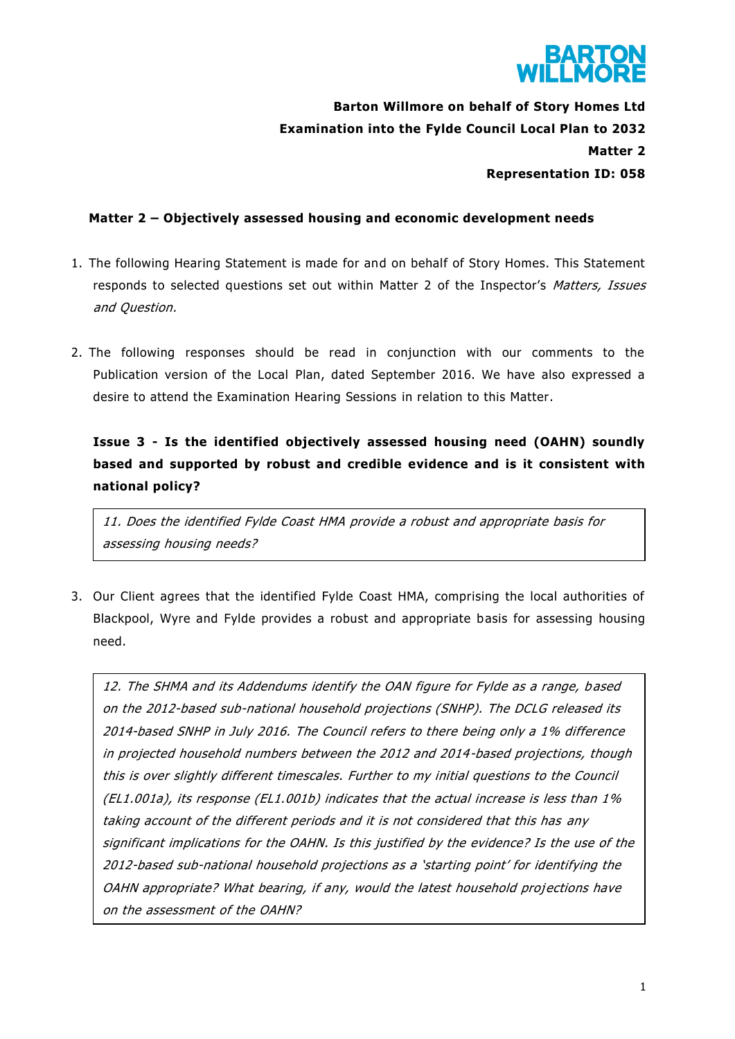

# **Barton Willmore on behalf of Story Homes Ltd Examination into the Fylde Council Local Plan to 2032 Matter 2 Representation ID: 058**

### **Matter 2 – Objectively assessed housing and economic development needs**

- 1. The following Hearing Statement is made for and on behalf of Story Homes. This Statement responds to selected questions set out within Matter 2 of the Inspector's Matters, Issues and Question.
- 2. The following responses should be read in conjunction with our comments to the Publication version of the Local Plan, dated September 2016. We have also expressed a desire to attend the Examination Hearing Sessions in relation to this Matter.

## **Issue 3 - Is the identified objectively assessed housing need (OAHN) soundly based and supported by robust and credible evidence and is it consistent with national policy?**

11. Does the identified Fylde Coast HMA provide a robust and appropriate basis for assessing housing needs?

3. Our Client agrees that the identified Fylde Coast HMA, comprising the local authorities of Blackpool, Wyre and Fylde provides a robust and appropriate basis for assessing housing need.

12. The SHMA and its Addendums identify the OAN figure for Fylde as a range, based on the 2012-based sub-national household projections (SNHP). The DCLG released its 2014-based SNHP in July 2016. The Council refers to there being only a 1% difference in projected household numbers between the 2012 and 2014-based projections, though this is over slightly different timescales. Further to my initial questions to the Council (EL1.001a), its response (EL1.001b) indicates that the actual increase is less than 1% taking account of the different periods and it is not considered that this has any significant implications for the OAHN. Is this justified by the evidence? Is the use of the 2012-based sub-national household projections as a 'starting point' for identifying the OAHN appropriate? What bearing, if any, would the latest household projections have on the assessment of the OAHN?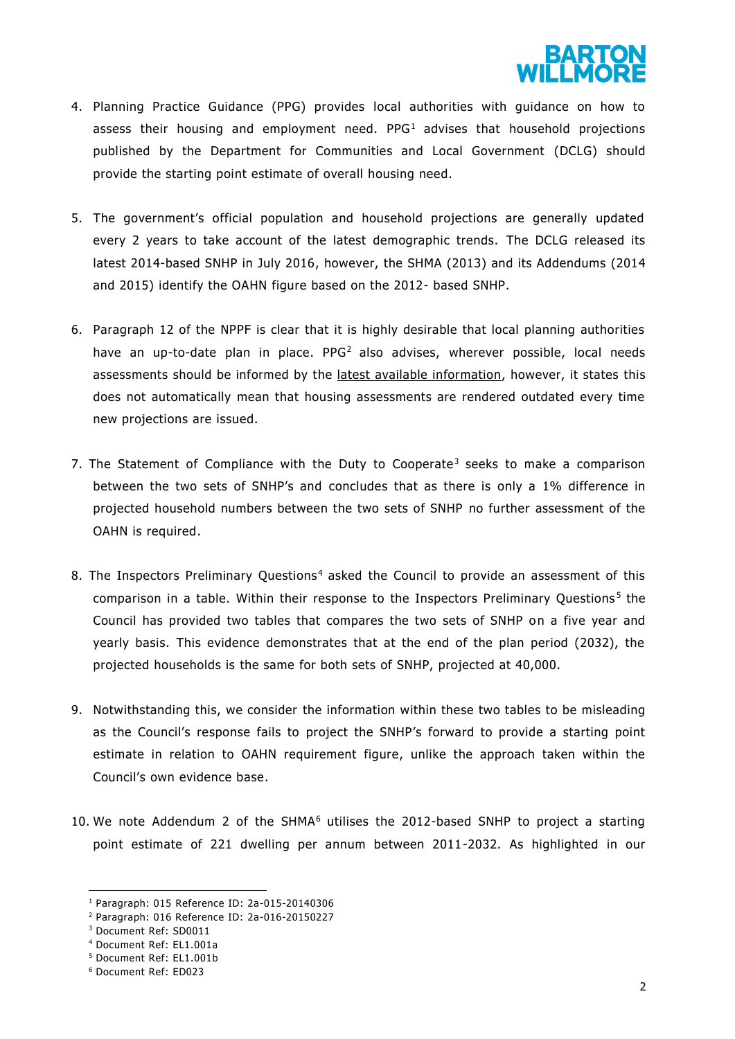

- 4. Planning Practice Guidance (PPG) provides local authorities with guidance on how to assess their housing and employment need.  $PPG<sup>1</sup>$  advises that household projections published by the Department for Communities and Local Government (DCLG) should provide the starting point estimate of overall housing need.
- 5. The government's official population and household projections are generally updated every 2 years to take account of the latest demographic trends. The DCLG released its latest 2014-based SNHP in July 2016, however, the SHMA (2013) and its Addendums (2014 and 2015) identify the OAHN figure based on the 2012- based SNHP.
- 6. Paragraph 12 of the NPPF is clear that it is highly desirable that local planning authorities have an up-to-date plan in place.  $PPG<sup>2</sup>$  also advises, wherever possible, local needs assessments should be informed by the latest available information, however, it states this does not automatically mean that housing assessments are rendered outdated every time new projections are issued.
- 7. The Statement of Compliance with the Duty to Cooperate<sup>3</sup> seeks to make a comparison between the two sets of SNHP's and concludes that as there is only a 1% difference in projected household numbers between the two sets of SNHP no further assessment of the OAHN is required.
- 8. The Inspectors Preliminary Questions<sup>4</sup> asked the Council to provide an assessment of this comparison in a table. Within their response to the Inspectors Preliminary Questions<sup>5</sup> the Council has provided two tables that compares the two sets of SNHP on a five year and yearly basis. This evidence demonstrates that at the end of the plan period (2032), the projected households is the same for both sets of SNHP, projected at 40,000.
- 9. Notwithstanding this, we consider the information within these two tables to be misleading as the Council's response fails to project the SNHP's forward to provide a starting point estimate in relation to OAHN requirement figure, unlike the approach taken within the Council's own evidence base.
- 10. We note Addendum 2 of the SHMA $<sup>6</sup>$  utilises the 2012-based SNHP to project a starting</sup> point estimate of 221 dwelling per annum between 2011-2032. As highlighted in our

**.** 

<sup>1</sup> Paragraph: 015 Reference ID: 2a-015-20140306

<sup>2</sup> Paragraph: 016 Reference ID: 2a-016-20150227

<sup>3</sup> Document Ref: SD0011

<sup>4</sup> Document Ref: EL1.001a

<sup>5</sup> Document Ref: EL1.001b

<sup>6</sup> Document Ref: ED023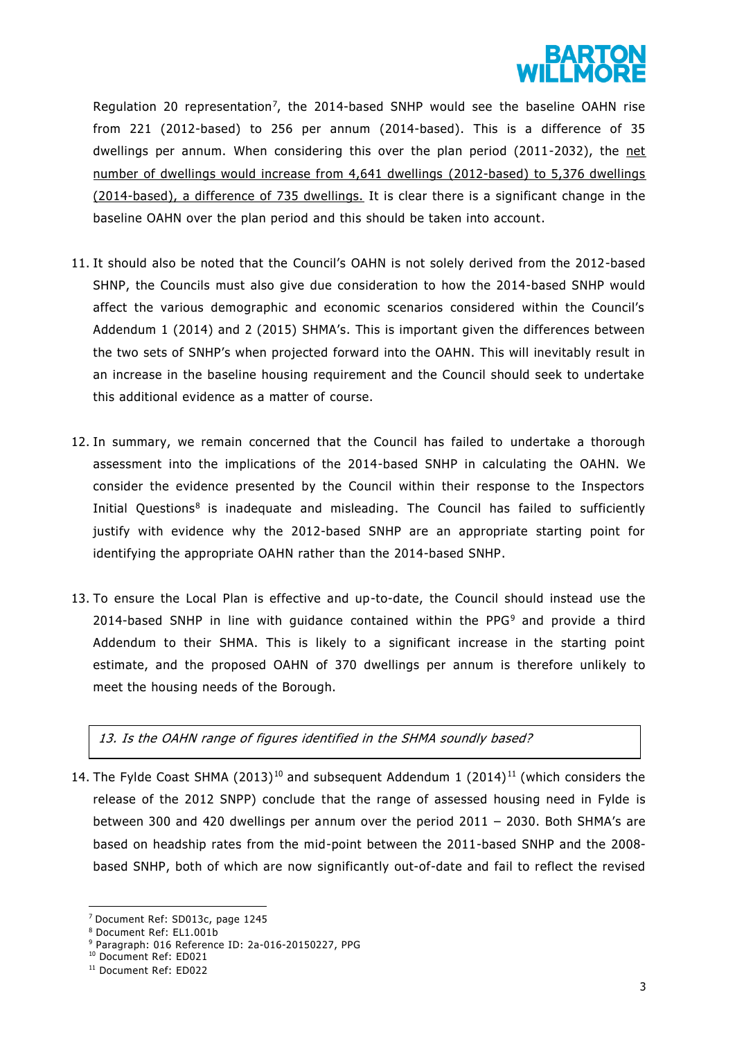

Regulation 20 representation<sup>7</sup>, the 2014-based SNHP would see the baseline OAHN rise from 221 (2012-based) to 256 per annum (2014-based). This is a difference of 35 dwellings per annum. When considering this over the plan period (2011-2032), the net number of dwellings would increase from 4,641 dwellings (2012-based) to 5,376 dwellings (2014-based), a difference of 735 dwellings. It is clear there is a significant change in the baseline OAHN over the plan period and this should be taken into account.

- 11. It should also be noted that the Council's OAHN is not solely derived from the 2012-based SHNP, the Councils must also give due consideration to how the 2014-based SNHP would affect the various demographic and economic scenarios considered within the Council's Addendum 1 (2014) and 2 (2015) SHMA's. This is important given the differences between the two sets of SNHP's when projected forward into the OAHN. This will inevitably result in an increase in the baseline housing requirement and the Council should seek to undertake this additional evidence as a matter of course.
- 12. In summary, we remain concerned that the Council has failed to undertake a thorough assessment into the implications of the 2014-based SNHP in calculating the OAHN. We consider the evidence presented by the Council within their response to the Inspectors Initial Questions<sup>8</sup> is inadequate and misleading. The Council has failed to sufficiently justify with evidence why the 2012-based SNHP are an appropriate starting point for identifying the appropriate OAHN rather than the 2014-based SNHP.
- 13. To ensure the Local Plan is effective and up-to-date, the Council should instead use the 2014-based SNHP in line with quidance contained within the PPG $9$  and provide a third Addendum to their SHMA. This is likely to a significant increase in the starting point estimate, and the proposed OAHN of 370 dwellings per annum is therefore unlikely to meet the housing needs of the Borough.

13. Is the OAHN range of figures identified in the SHMA soundly based?

14. The Fylde Coast SHMA (2013)<sup>10</sup> and subsequent Addendum 1 (2014)<sup>11</sup> (which considers the release of the 2012 SNPP) conclude that the range of assessed housing need in Fylde is between 300 and 420 dwellings per annum over the period 2011 – 2030. Both SHMA's are based on headship rates from the mid-point between the 2011-based SNHP and the 2008 based SNHP, both of which are now significantly out-of-date and fail to reflect the revised

**<sup>.</sup>** <sup>7</sup> Document Ref: SD013c, page 1245

<sup>8</sup> Document Ref: EL1.001b

<sup>9</sup> Paragraph: 016 Reference ID: 2a-016-20150227, PPG

<sup>10</sup> Document Ref: ED021

<sup>11</sup> Document Ref: ED022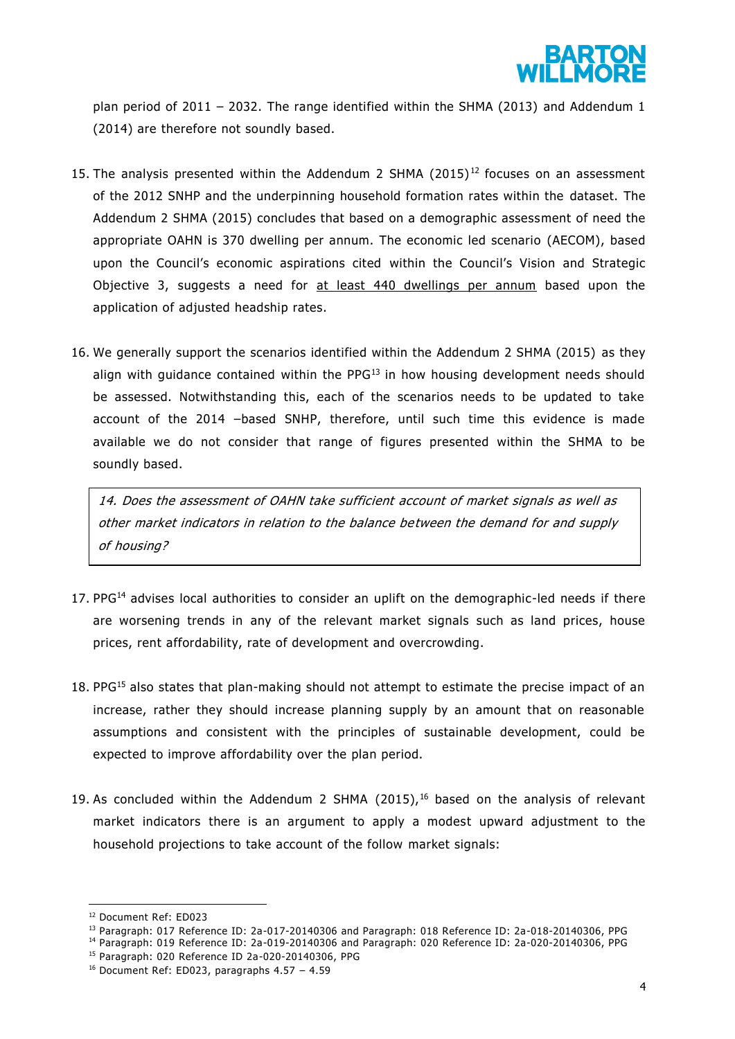

plan period of 2011 – 2032. The range identified within the SHMA (2013) and Addendum 1 (2014) are therefore not soundly based.

- 15. The analysis presented within the Addendum 2 SHMA  $(2015)^{12}$  focuses on an assessment of the 2012 SNHP and the underpinning household formation rates within the dataset. The Addendum 2 SHMA (2015) concludes that based on a demographic assessment of need the appropriate OAHN is 370 dwelling per annum. The economic led scenario (AECOM), based upon the Council's economic aspirations cited within the Council's Vision and Strategic Objective 3, suggests a need for at least 440 dwellings per annum based upon the application of adjusted headship rates.
- 16. We generally support the scenarios identified within the Addendum 2 SHMA (2015) as they align with guidance contained within the PPG<sup>13</sup> in how housing development needs should be assessed. Notwithstanding this, each of the scenarios needs to be updated to take account of the 2014 –based SNHP, therefore, until such time this evidence is made available we do not consider that range of figures presented within the SHMA to be soundly based.

14. Does the assessment of OAHN take sufficient account of market signals as well as other market indicators in relation to the balance between the demand for and supply of housing?

- 17. PP $G<sup>14</sup>$  advises local authorities to consider an uplift on the demographic-led needs if there are worsening trends in any of the relevant market signals such as land prices, house prices, rent affordability, rate of development and overcrowding.
- 18. PP $G<sup>15</sup>$  also states that plan-making should not attempt to estimate the precise impact of an increase, rather they should increase planning supply by an amount that on reasonable assumptions and consistent with the principles of sustainable development, could be expected to improve affordability over the plan period.
- 19. As concluded within the Addendum 2 SHMA (2015), $16$  based on the analysis of relevant market indicators there is an argument to apply a modest upward adjustment to the household projections to take account of the follow market signals:

**.** 

<sup>12</sup> Document Ref: ED023

<sup>13</sup> Paragraph: 017 Reference ID: 2a-017-20140306 and Paragraph: 018 Reference ID: 2a-018-20140306, PPG

<sup>14</sup> Paragraph: 019 Reference ID: 2a-019-20140306 and Paragraph: 020 Reference ID: 2a-020-20140306, PPG

<sup>15</sup> Paragraph: 020 Reference ID 2a-020-20140306, PPG

 $16$  Document Ref: ED023, paragraphs 4.57 - 4.59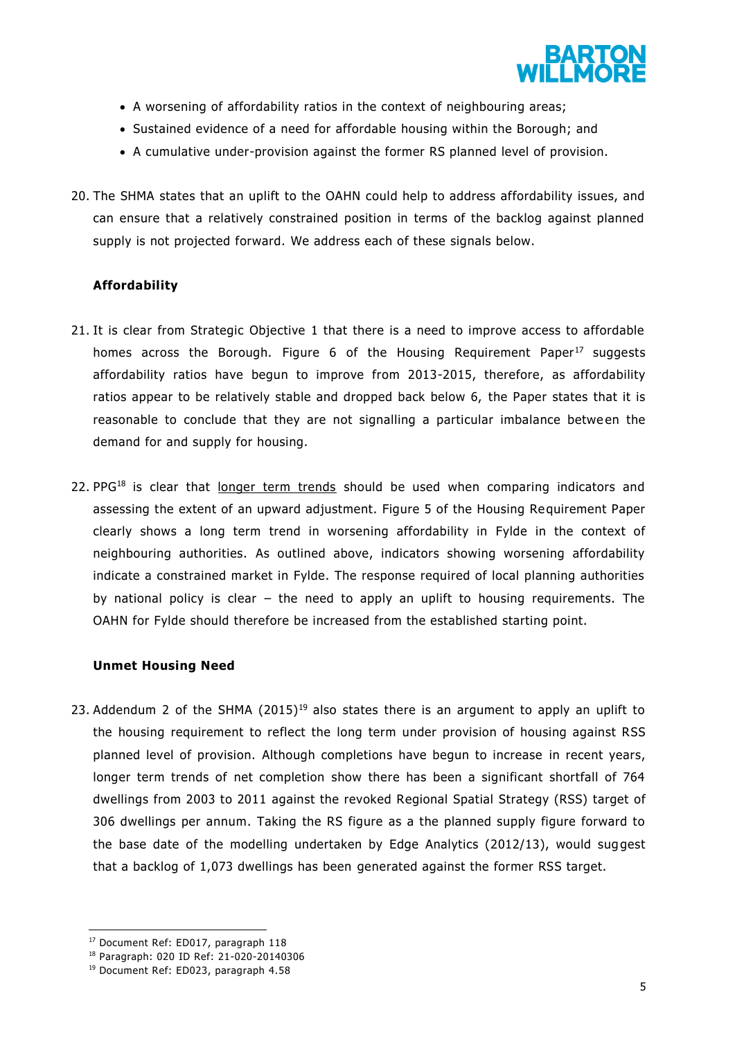

- A worsening of affordability ratios in the context of neighbouring areas;
- Sustained evidence of a need for affordable housing within the Borough; and
- A cumulative under-provision against the former RS planned level of provision.
- 20. The SHMA states that an uplift to the OAHN could help to address affordability issues, and can ensure that a relatively constrained position in terms of the backlog against planned supply is not projected forward. We address each of these signals below.

#### **Affordability**

- 21. It is clear from Strategic Objective 1 that there is a need to improve access to affordable homes across the Borough. Figure  $6$  of the Housing Requirement Paper<sup>17</sup> suggests affordability ratios have begun to improve from 2013-2015, therefore, as affordability ratios appear to be relatively stable and dropped back below 6, the Paper states that it is reasonable to conclude that they are not signalling a particular imbalance betwe en the demand for and supply for housing.
- 22. PPG<sup>18</sup> is clear that longer term trends should be used when comparing indicators and assessing the extent of an upward adjustment. Figure 5 of the Housing Requirement Paper clearly shows a long term trend in worsening affordability in Fylde in the context of neighbouring authorities. As outlined above, indicators showing worsening affordability indicate a constrained market in Fylde. The response required of local planning authorities by national policy is clear – the need to apply an uplift to housing requirements. The OAHN for Fylde should therefore be increased from the established starting point.

#### **Unmet Housing Need**

23. Addendum 2 of the SHMA  $(2015)^{19}$  also states there is an argument to apply an uplift to the housing requirement to reflect the long term under provision of housing against RSS planned level of provision. Although completions have begun to increase in recent years, longer term trends of net completion show there has been a significant shortfall of 764 dwellings from 2003 to 2011 against the revoked Regional Spatial Strategy (RSS) target of 306 dwellings per annum. Taking the RS figure as a the planned supply figure forward to the base date of the modelling undertaken by Edge Analytics  $(2012/13)$ , would suggest that a backlog of 1,073 dwellings has been generated against the former RSS target.

<sup>1</sup> <sup>17</sup> Document Ref: ED017, paragraph 118

<sup>18</sup> Paragraph: 020 ID Ref: 21-020-20140306

<sup>19</sup> Document Ref: ED023, paragraph 4.58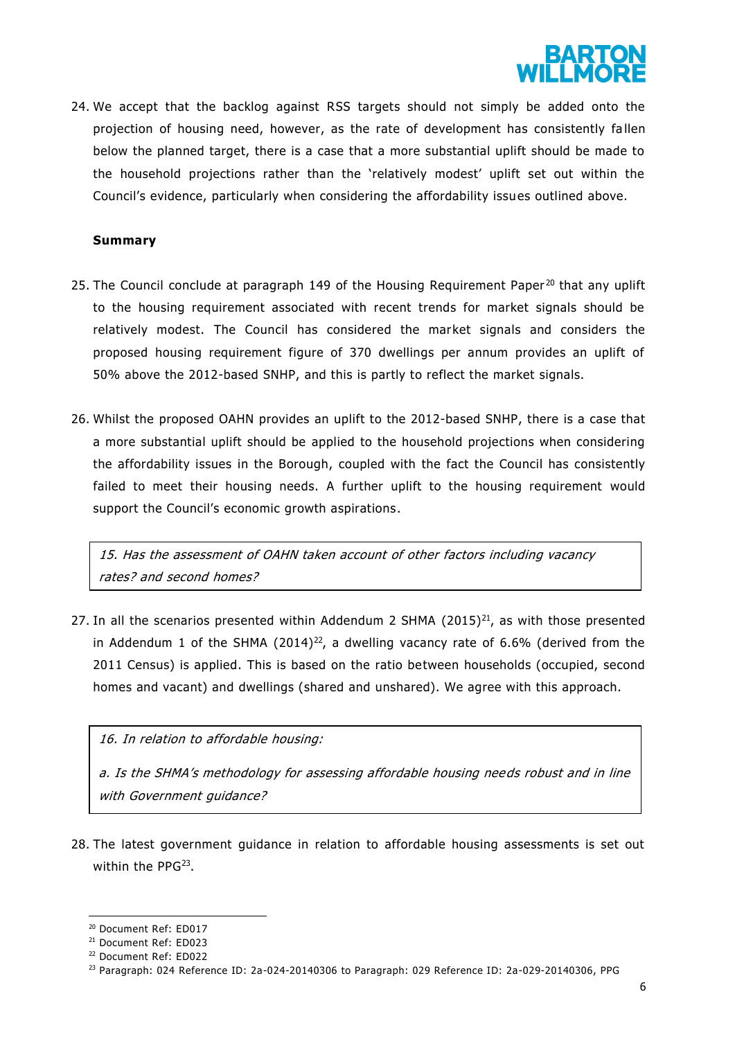

24. We accept that the backlog against RSS targets should not simply be added onto the projection of housing need, however, as the rate of development has consistently fa llen below the planned target, there is a case that a more substantial uplift should be made to the household projections rather than the 'relatively modest' uplift set out within the Council's evidence, particularly when considering the affordability issues outlined above.

#### **Summary**

- 25. The Council conclude at paragraph 149 of the Housing Requirement Paper<sup>20</sup> that any uplift to the housing requirement associated with recent trends for market signals should be relatively modest. The Council has considered the market signals and considers the proposed housing requirement figure of 370 dwellings per annum provides an uplift of 50% above the 2012-based SNHP, and this is partly to reflect the market signals.
- 26. Whilst the proposed OAHN provides an uplift to the 2012-based SNHP, there is a case that a more substantial uplift should be applied to the household projections when considering the affordability issues in the Borough, coupled with the fact the Council has consistently failed to meet their housing needs. A further uplift to the housing requirement would support the Council's economic growth aspirations.

15. Has the assessment of OAHN taken account of other factors including vacancy rates? and second homes?

27. In all the scenarios presented within Addendum 2 SHMA  $(2015)^{21}$ , as with those presented in Addendum 1 of the SHMA (2014)<sup>22</sup>, a dwelling vacancy rate of 6.6% (derived from the 2011 Census) is applied. This is based on the ratio between households (occupied, second homes and vacant) and dwellings (shared and unshared). We agree with this approach.

16. In relation to affordable housing:

a. Is the SHMA's methodology for assessing affordable housing needs robust and in line with Government quidance?

28. The latest government guidance in relation to affordable housing assessments is set out within the PPG<sup>23</sup>.

 $\overline{a}$ 

<sup>20</sup> Document Ref: ED017

<sup>21</sup> Document Ref: ED023

<sup>22</sup> Document Ref: ED022

<sup>&</sup>lt;sup>23</sup> Paragraph: 024 Reference ID: 2a-024-20140306 to Paragraph: 029 Reference ID: 2a-029-20140306, PPG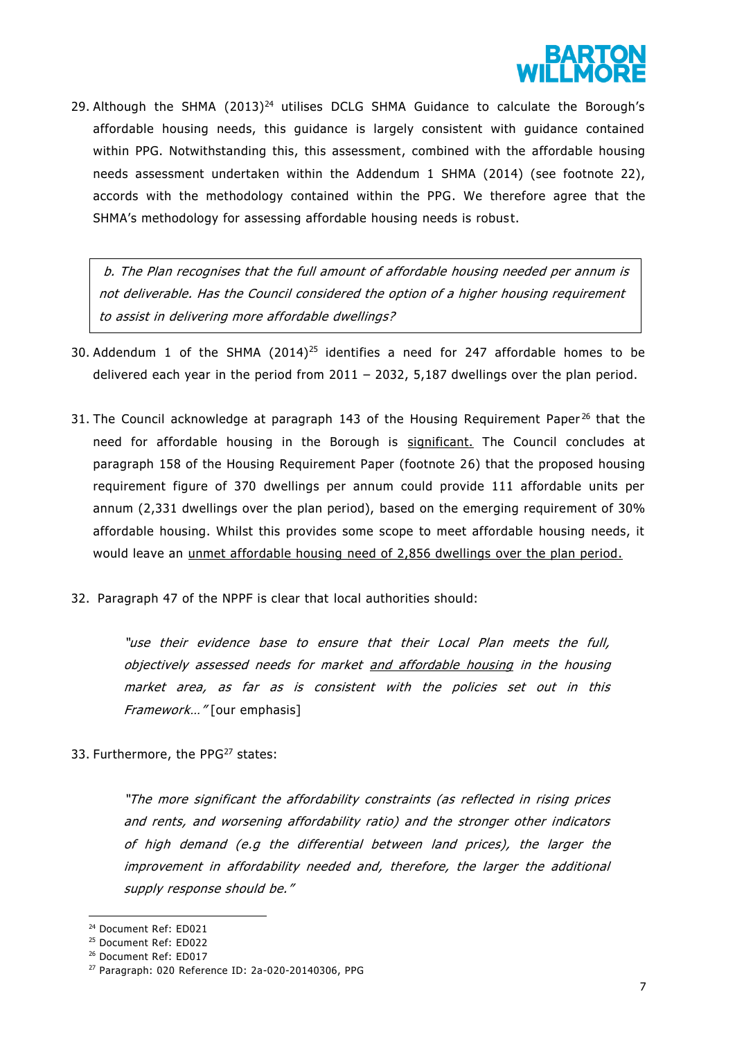

29. Although the SHMA  $(2013)^{24}$  utilises DCLG SHMA Guidance to calculate the Borough's affordable housing needs, this guidance is largely consistent with guidance contained within PPG. Notwithstanding this, this assessment, combined with the affordable housing needs assessment undertaken within the Addendum 1 SHMA (2014) (see footnote 22), accords with the methodology contained within the PPG. We therefore agree that the SHMA's methodology for assessing affordable housing needs is robust.

b. The Plan recognises that the full amount of affordable housing needed per annum is not deliverable. Has the Council considered the option of a higher housing requirement to assist in delivering more affordable dwellings?

- 30. Addendum 1 of the SHMA  $(2014)^{25}$  identifies a need for 247 affordable homes to be delivered each year in the period from  $2011 - 2032$ , 5,187 dwellings over the plan period.
- 31. The Council acknowledge at paragraph 143 of the Housing Requirement Paper<sup>26</sup> that the need for affordable housing in the Borough is significant. The Council concludes at paragraph 158 of the Housing Requirement Paper (footnote 26) that the proposed housing requirement figure of 370 dwellings per annum could provide 111 affordable units per annum (2,331 dwellings over the plan period), based on the emerging requirement of 30% affordable housing. Whilst this provides some scope to meet affordable housing needs, it would leave an unmet affordable housing need of 2,856 dwellings over the plan period.
- 32. Paragraph 47 of the NPPF is clear that local authorities should:

"use their evidence base to ensure that their Local Plan meets the full, objectively assessed needs for market and affordable housing in the housing market area, as far as is consistent with the policies set out in this Framework…" [our emphasis]

33. Furthermore, the PPG<sup>27</sup> states:

"The more significant the affordability constraints (as reflected in rising prices and rents, and worsening affordability ratio) and the stronger other indicators of high demand (e.g the differential between land prices), the larger the improvement in affordability needed and, therefore, the larger the additional supply response should be."

 $\overline{a}$ 

<sup>24</sup> Document Ref: ED021

<sup>25</sup> Document Ref: ED022

<sup>26</sup> Document Ref: ED017

<sup>27</sup> Paragraph: 020 Reference ID: 2a-020-20140306, PPG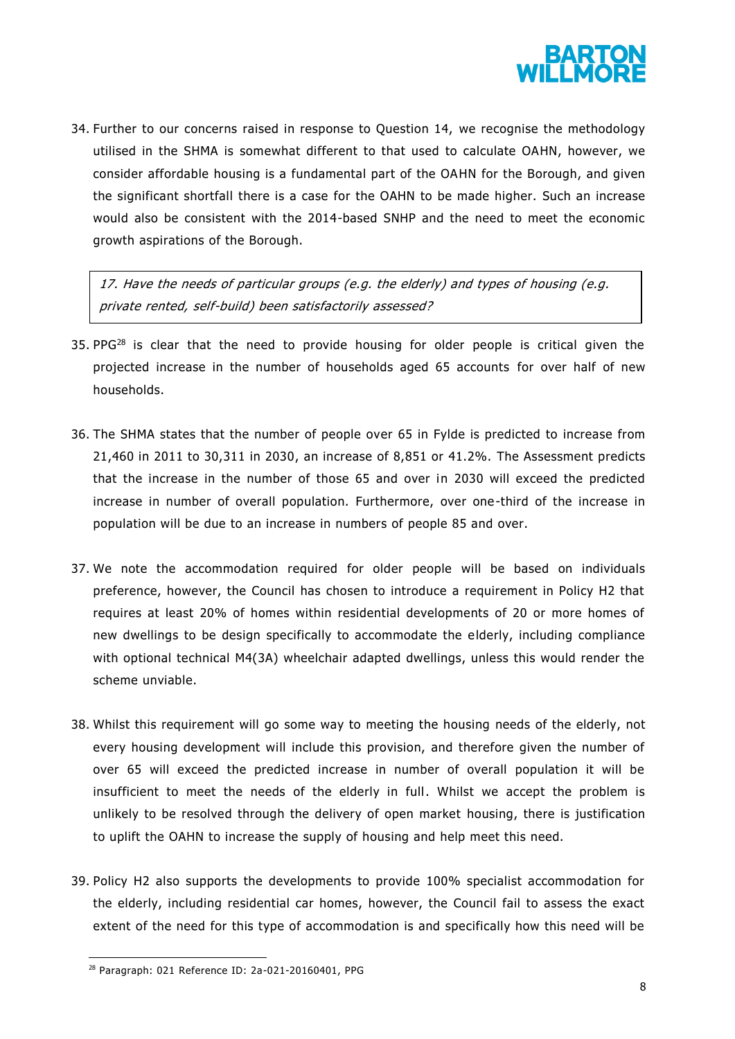

34. Further to our concerns raised in response to Question 14, we recognise the methodology utilised in the SHMA is somewhat different to that used to calculate OAHN, however, we consider affordable housing is a fundamental part of the OAHN for the Borough, and given the significant shortfall there is a case for the OAHN to be made higher. Such an increase would also be consistent with the 2014-based SNHP and the need to meet the economic growth aspirations of the Borough.

17. Have the needs of particular groups (e.g. the elderly) and types of housing (e.g. private rented, self-build) been satisfactorily assessed?

- 35. PPG<sup>28</sup> is clear that the need to provide housing for older people is critical given the projected increase in the number of households aged 65 accounts for over half of new households.
- 36. The SHMA states that the number of people over 65 in Fylde is predicted to increase from 21,460 in 2011 to 30,311 in 2030, an increase of 8,851 or 41.2%. The Assessment predicts that the increase in the number of those 65 and over in 2030 will exceed the predicted increase in number of overall population. Furthermore, over one -third of the increase in population will be due to an increase in numbers of people 85 and over.
- 37. We note the accommodation required for older people will be based on individuals preference, however, the Council has chosen to introduce a requirement in Policy H2 that requires at least 20% of homes within residential developments of 20 or more homes of new dwellings to be design specifically to accommodate the elderly, including compliance with optional technical M4(3A) wheelchair adapted dwellings, unless this would render the scheme unviable.
- 38. Whilst this requirement will go some way to meeting the housing needs of the elderly, not every housing development will include this provision, and therefore given the number of over 65 will exceed the predicted increase in number of overall population it will be insufficient to meet the needs of the elderly in full. Whilst we accept the problem is unlikely to be resolved through the delivery of open market housing, there is justification to uplift the OAHN to increase the supply of housing and help meet this need.
- 39. Policy H2 also supports the developments to provide 100% specialist accommodation for the elderly, including residential car homes, however, the Council fail to assess the exact extent of the need for this type of accommodation is and specifically how this need will be

 $\overline{a}$ 

<sup>28</sup> Paragraph: 021 Reference ID: 2a-021-20160401, PPG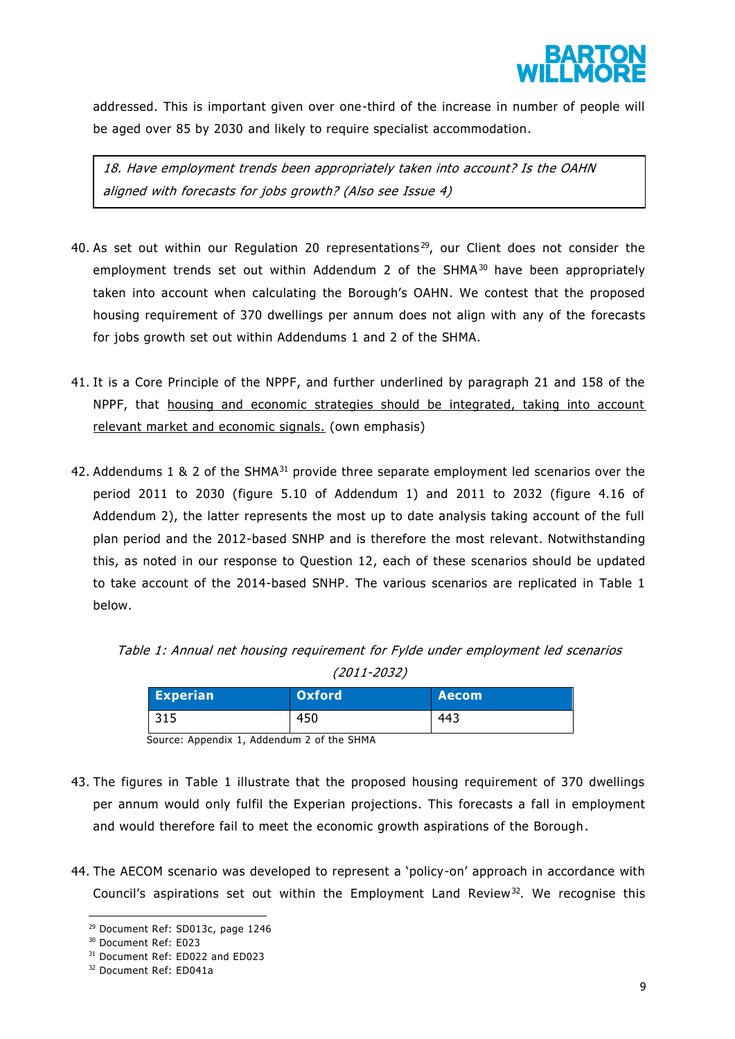

addressed. This is important given over one-third of the increase in number of people will be aged over 85 by 2030 and likely to require specialist accommodation.

18. Have employment trends been appropriately taken into account? Is the OAHN aligned with forecasts for jobs growth? (Also see Issue 4)

- 40. As set out within our Regulation 20 representations<sup>29</sup>, our Client does not consider the employment trends set out within Addendum 2 of the  $SHMA^{30}$  have been appropriately taken into account when calculating the Borough's OAHN. We contest that the proposed housing requirement of 370 dwellings per annum does not align with any of the forecasts for jobs growth set out within Addendums 1 and 2 of the SHMA.
- 41. It is a Core Principle of the NPPF, and further underlined by paragraph 21 and 158 of the NPPF, that housing and economic strategies should be integrated, taking into account relevant market and economic signals. (own emphasis)
- 42. Addendums 1 & 2 of the SHMA $31$  provide three separate employment led scenarios over the period 2011 to 2030 (figure 5.10 of Addendum 1) and 2011 to 2032 (figure 4.16 of Addendum 2), the latter represents the most up to date analysis taking account of the full plan period and the 2012-based SNHP and is therefore the most relevant. Notwithstanding this, as noted in our response to Question 12, each of these scenarios should be updated to take account of the 2014-based SNHP. The various scenarios are replicated in Table 1 below.

Table 1: Annual net housing requirement for Fylde under employment led scenarios (2011-2032)

| <b>Experian</b> | <b>Oxford</b> | <b>Aecom</b> |
|-----------------|---------------|--------------|
|                 | 450           | 443          |

Source: Appendix 1, Addendum 2 of the SHMA

- 43. The figures in Table 1 illustrate that the proposed housing requirement of 370 dwellings per annum would only fulfil the Experian projections. This forecasts a fall in employment and would therefore fail to meet the economic growth aspirations of the Borough.
- 44. The AECOM scenario was developed to represent a 'policy-on' approach in accordance with Council's aspirations set out within the Employment Land Review<sup>32</sup>. We recognise this

 $\overline{a}$ <sup>29</sup> Document Ref: SD013c, page 1246

<sup>30</sup> Document Ref: E023

<sup>&</sup>lt;sup>31</sup> Document Ref: ED022 and ED023

<sup>32</sup> Document Ref: ED041a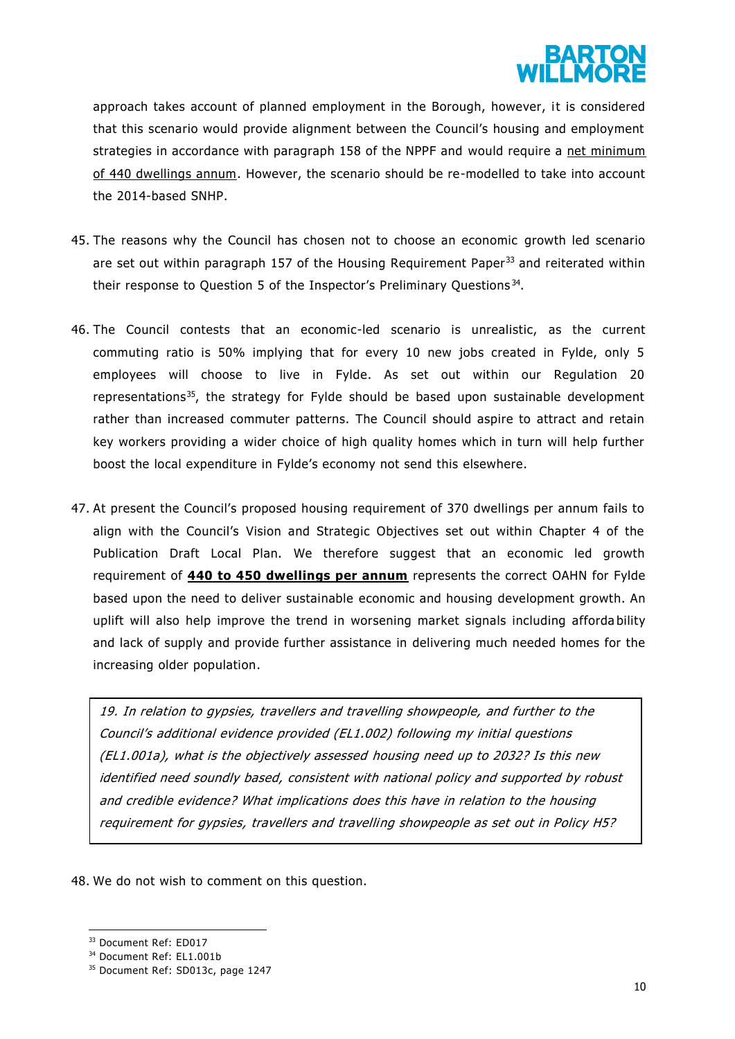

approach takes account of planned employment in the Borough, however, it is considered that this scenario would provide alignment between the Council's housing and employment strategies in accordance with paragraph 158 of the NPPF and would require a net minimum of 440 dwellings annum. However, the scenario should be re-modelled to take into account the 2014-based SNHP.

- 45. The reasons why the Council has chosen not to choose an economic growth led scenario are set out within paragraph 157 of the Housing Requirement Paper<sup>33</sup> and reiterated within their response to Question 5 of the Inspector's Preliminary Questions<sup>34</sup>.
- 46. The Council contests that an economic-led scenario is unrealistic, as the current commuting ratio is 50% implying that for every 10 new jobs created in Fylde, only 5 employees will choose to live in Fylde. As set out within our Regulation 20 representations $35$ , the strategy for Fylde should be based upon sustainable development rather than increased commuter patterns. The Council should aspire to attract and retain key workers providing a wider choice of high quality homes which in turn will help further boost the local expenditure in Fylde's economy not send this elsewhere.
- 47. At present the Council's proposed housing requirement of 370 dwellings per annum fails to align with the Council's Vision and Strategic Objectives set out within Chapter 4 of the Publication Draft Local Plan. We therefore suggest that an economic led growth requirement of **440 to 450 dwellings per annum** represents the correct OAHN for Fylde based upon the need to deliver sustainable economic and housing development growth. An uplift will also help improve the trend in worsening market signals including afforda bility and lack of supply and provide further assistance in delivering much needed homes for the increasing older population.

19. In relation to gypsies, travellers and travelling showpeople, and further to the Council's additional evidence provided (EL1.002) following my initial questions (EL1.001a), what is the objectively assessed housing need up to 2032? Is this new identified need soundly based, consistent with national policy and supported by robust and credible evidence? What implications does this have in relation to the housing requirement for gypsies, travellers and travelling showpeople as set out in Policy H5?

48. We do not wish to comment on this question.

1

<sup>33</sup> Document Ref: ED017

<sup>34</sup> Document Ref: EL1.001b

<sup>&</sup>lt;sup>35</sup> Document Ref: SD013c, page 1247